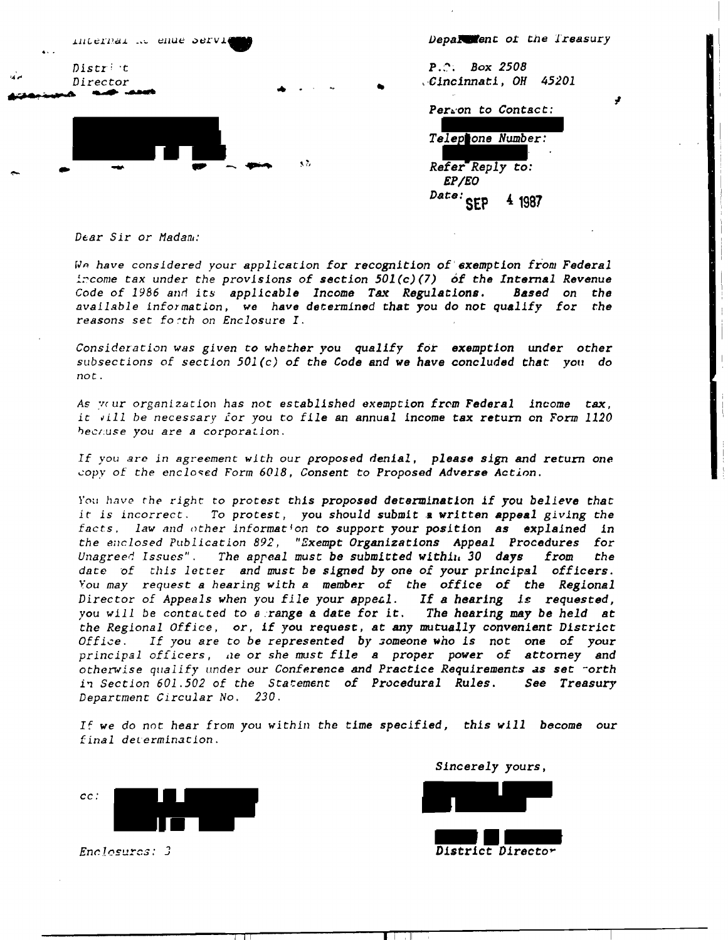| $\bullet\cdot\cdot$ | internal at enue Services        |                                                                                                                                                                                                                                                                                                                                                                                                                                                                                  | Department of the Treasury                                        |  |
|---------------------|----------------------------------|----------------------------------------------------------------------------------------------------------------------------------------------------------------------------------------------------------------------------------------------------------------------------------------------------------------------------------------------------------------------------------------------------------------------------------------------------------------------------------|-------------------------------------------------------------------|--|
| $\mathbf{A}$        | Distr <sup>1</sup> t<br>Director | $\bullet$<br>$\frac{1}{2} \frac{1}{2} \frac{1}{2} \left( \frac{1}{2} \left( \frac{1}{2} \right) \right) \left( \frac{1}{2} \left( \frac{1}{2} \right) \right) \left( \frac{1}{2} \right) \left( \frac{1}{2} \right) \left( \frac{1}{2} \right) \left( \frac{1}{2} \right) \left( \frac{1}{2} \right) \left( \frac{1}{2} \right) \left( \frac{1}{2} \right) \left( \frac{1}{2} \right) \left( \frac{1}{2} \right) \left( \frac{1}{2} \right) \left( \frac{1}{2} \right) \left( \$ | <b>Box 2508</b><br>$P \cdot \mathbb{C}$ .<br>Cincinnati, OH 45201 |  |
|                     |                                  |                                                                                                                                                                                                                                                                                                                                                                                                                                                                                  | Perion to Contact:                                                |  |
|                     |                                  |                                                                                                                                                                                                                                                                                                                                                                                                                                                                                  | Telephone Number:                                                 |  |
| $\sim$              |                                  | -3.7                                                                                                                                                                                                                                                                                                                                                                                                                                                                             | Refer Reply to:<br><i>EP/EO</i>                                   |  |
|                     |                                  |                                                                                                                                                                                                                                                                                                                                                                                                                                                                                  | Date: erp<br>4 1987                                               |  |

Dear Sir or Madam:

We have considered your application for recognition of exemption from Federal income tax under the provisions of section 501(c)(7) of the Internal Revenue Code of 1986 and its applicable Income Tax Regulations. Based on the available information, we have determined that you do not qualify for the reasons set forth on Enclosure I.

Consideration was given to whether you qualify for exemption under other subsections of section  $501(c)$  of the Code and we have concluded that you do  $not$ .

As vour organization has not established exemption from Federal income tax, it vill be necessary for you to file an annual income tax return on Form 1120 hechuse you are a corporation.

If you are in agreement with our proposed denial, please sign and return one copy of the enclosed Form 6018, Consent to Proposed Adverse Action.

You have the right to protest this proposed determination if you believe that it is incorrect. To protest, you should submit a written appeal giving the facts, law and other information to support your position as explained in the enclosed Publication 892, "Exempt Organizations Appeal Procedures for Unagreed Issues". The appeal must be submitted within 30 days the from date of this letter and must be signed by one of your principal officers. You may request a hearing with a member of the office of the Regional Director of Appeals when you file your appeal. If a hearing is requested, you will be contacted to a range a date for it. The hearing may be held at the Regional Office, or, if you request, at any mutually convenient District If you are to be represented by someone who is not one of your  $Office.$ principal officers, he or she must file a proper power of attorney and otherwise qualify under our Conference and Practice Requirements as set corth in Section 601.502 of the Statement of Procedural Rules. See Treasury Department Circular No. 230.

If we do not hear from you within the time specified, this will become our final determination.



Enclosures: 3

Sincerely yours, District Director